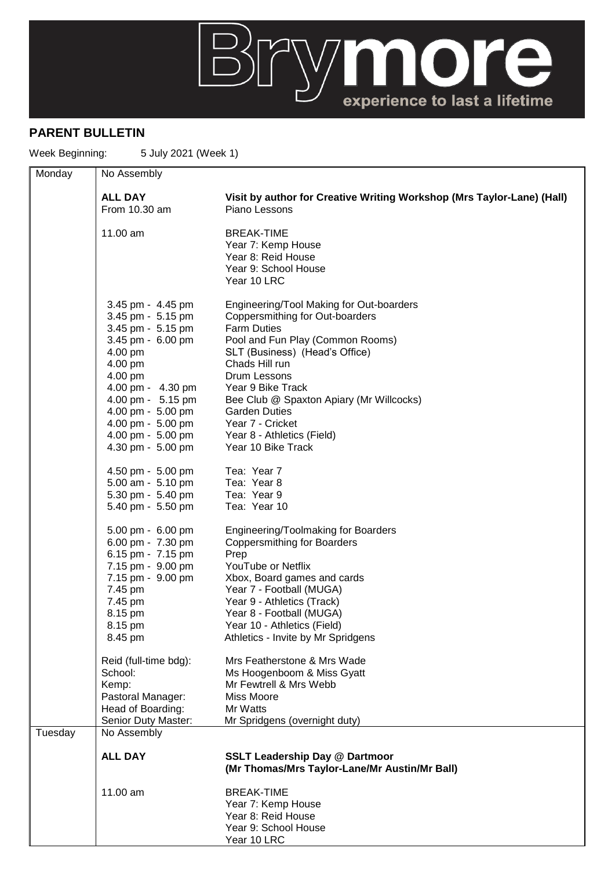

## **PARENT BULLETIN**

Week Beginning: 5 July 2021 (Week 1)

| Monday  | No Assembly                                                                                                                                                                                                                                     |                                                                                                                                                                                                                                                                                                                                                                            |
|---------|-------------------------------------------------------------------------------------------------------------------------------------------------------------------------------------------------------------------------------------------------|----------------------------------------------------------------------------------------------------------------------------------------------------------------------------------------------------------------------------------------------------------------------------------------------------------------------------------------------------------------------------|
|         | <b>ALL DAY</b><br>From 10.30 am                                                                                                                                                                                                                 | Visit by author for Creative Writing Workshop (Mrs Taylor-Lane) (Hall)<br>Piano Lessons                                                                                                                                                                                                                                                                                    |
|         | 11.00 am                                                                                                                                                                                                                                        | <b>BREAK-TIME</b><br>Year 7: Kemp House<br>Year 8: Reid House<br>Year 9: School House<br>Year 10 LRC                                                                                                                                                                                                                                                                       |
|         | 3.45 pm - 4.45 pm<br>3.45 pm - 5.15 pm<br>3.45 pm - 5.15 pm<br>3.45 pm - 6.00 pm<br>4.00 pm<br>4.00 pm<br>4.00 pm<br>4.00 pm - 4.30 pm<br>4.00 pm - 5.15 pm<br>4.00 pm - 5.00 pm<br>4.00 pm - 5.00 pm<br>4.00 pm - 5.00 pm<br>4.30 pm - 5.00 pm | Engineering/Tool Making for Out-boarders<br>Coppersmithing for Out-boarders<br><b>Farm Duties</b><br>Pool and Fun Play (Common Rooms)<br>SLT (Business) (Head's Office)<br>Chads Hill run<br>Drum Lessons<br>Year 9 Bike Track<br>Bee Club @ Spaxton Apiary (Mr Willcocks)<br><b>Garden Duties</b><br>Year 7 - Cricket<br>Year 8 - Athletics (Field)<br>Year 10 Bike Track |
|         | 4.50 pm - 5.00 pm<br>5.00 am - 5.10 pm<br>5.30 pm - 5.40 pm<br>5.40 pm - 5.50 pm                                                                                                                                                                | Tea: Year 7<br>Tea: Year 8<br>Tea: Year 9<br>Tea: Year 10                                                                                                                                                                                                                                                                                                                  |
|         | 5.00 pm - 6.00 pm<br>6.00 pm - 7.30 pm<br>6.15 pm - 7.15 pm<br>7.15 pm - 9.00 pm<br>7.15 pm - 9.00 pm<br>7.45 pm<br>7.45 pm<br>8.15 pm<br>8.15 pm<br>8.45 pm                                                                                    | Engineering/Toolmaking for Boarders<br><b>Coppersmithing for Boarders</b><br>Prep<br>YouTube or Netflix<br>Xbox, Board games and cards<br>Year 7 - Football (MUGA)<br>Year 9 - Athletics (Track)<br>Year 8 - Football (MUGA)<br>Year 10 - Athletics (Field)<br>Athletics - Invite by Mr Spridgens                                                                          |
|         | Reid (full-time bdg):<br>School:<br>Kemp:<br>Pastoral Manager:<br>Head of Boarding:<br>Senior Duty Master:                                                                                                                                      | Mrs Featherstone & Mrs Wade<br>Ms Hoogenboom & Miss Gyatt<br>Mr Fewtrell & Mrs Webb<br>Miss Moore<br>Mr Watts<br>Mr Spridgens (overnight duty)                                                                                                                                                                                                                             |
| Tuesday | No Assembly                                                                                                                                                                                                                                     |                                                                                                                                                                                                                                                                                                                                                                            |
|         | <b>ALL DAY</b>                                                                                                                                                                                                                                  | <b>SSLT Leadership Day @ Dartmoor</b><br>(Mr Thomas/Mrs Taylor-Lane/Mr Austin/Mr Ball)                                                                                                                                                                                                                                                                                     |
|         | 11.00 am                                                                                                                                                                                                                                        | <b>BREAK-TIME</b><br>Year 7: Kemp House<br>Year 8: Reid House<br>Year 9: School House<br>Year 10 LRC                                                                                                                                                                                                                                                                       |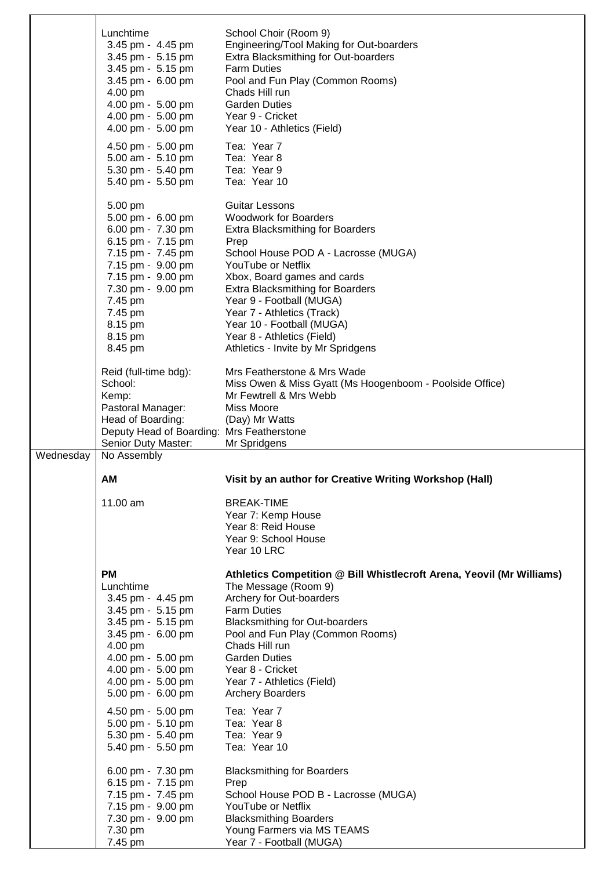|           | Lunchtime                                                        | School Choir (Room 9)                                                 |
|-----------|------------------------------------------------------------------|-----------------------------------------------------------------------|
|           | 3.45 pm - 4.45 pm                                                | Engineering/Tool Making for Out-boarders                              |
|           |                                                                  |                                                                       |
|           | 3.45 pm - 5.15 pm                                                | Extra Blacksmithing for Out-boarders                                  |
|           | 3.45 pm - 5.15 pm                                                | <b>Farm Duties</b>                                                    |
|           | 3.45 pm - 6.00 pm                                                | Pool and Fun Play (Common Rooms)                                      |
|           | 4.00 pm                                                          | Chads Hill run                                                        |
|           | 4.00 pm - 5.00 pm                                                | <b>Garden Duties</b>                                                  |
|           | 4.00 pm - 5.00 pm                                                | Year 9 - Cricket                                                      |
|           | 4.00 pm - 5.00 pm                                                | Year 10 - Athletics (Field)                                           |
|           | 4.50 pm - 5.00 pm                                                | Tea: Year 7                                                           |
|           | 5.00 am - 5.10 pm                                                | Tea: Year 8                                                           |
|           |                                                                  | Tea: Year 9                                                           |
|           | 5.30 pm - 5.40 pm                                                |                                                                       |
|           | 5.40 pm - 5.50 pm                                                | Tea: Year 10                                                          |
|           |                                                                  |                                                                       |
|           | 5.00 pm                                                          | <b>Guitar Lessons</b>                                                 |
|           | 5.00 pm - 6.00 pm                                                | <b>Woodwork for Boarders</b>                                          |
|           | 6.00 pm - 7.30 pm                                                | <b>Extra Blacksmithing for Boarders</b>                               |
|           | 6.15 pm - 7.15 pm                                                | Prep                                                                  |
|           | 7.15 pm - 7.45 pm                                                | School House POD A - Lacrosse (MUGA)                                  |
|           | 7.15 pm - 9.00 pm                                                | YouTube or Netflix                                                    |
|           | 7.15 pm - 9.00 pm                                                | Xbox, Board games and cards                                           |
|           | 7.30 pm - 9.00 pm                                                | <b>Extra Blacksmithing for Boarders</b>                               |
|           | 7.45 pm                                                          | Year 9 - Football (MUGA)                                              |
|           | 7.45 pm                                                          | Year 7 - Athletics (Track)                                            |
|           | 8.15 pm                                                          | Year 10 - Football (MUGA)                                             |
|           | 8.15 pm                                                          | Year 8 - Athletics (Field)                                            |
|           | 8.45 pm                                                          | Athletics - Invite by Mr Spridgens                                    |
|           |                                                                  |                                                                       |
|           | Reid (full-time bdg):                                            | Mrs Featherstone & Mrs Wade                                           |
|           | School:                                                          | Miss Owen & Miss Gyatt (Ms Hoogenboom - Poolside Office)              |
|           | Kemp:                                                            | Mr Fewtrell & Mrs Webb                                                |
|           | Pastoral Manager:                                                | Miss Moore                                                            |
|           |                                                                  |                                                                       |
|           |                                                                  |                                                                       |
|           | Head of Boarding:                                                | (Day) Mr Watts                                                        |
|           | Deputy Head of Boarding: Mrs Featherstone<br>Senior Duty Master: | Mr Spridgens                                                          |
| Wednesday | No Assembly                                                      |                                                                       |
|           |                                                                  |                                                                       |
|           | AM                                                               | Visit by an author for Creative Writing Workshop (Hall)               |
|           |                                                                  |                                                                       |
|           | 11.00 am                                                         | <b>BREAK-TIME</b>                                                     |
|           |                                                                  | Year 7: Kemp House                                                    |
|           |                                                                  | Year 8: Reid House                                                    |
|           |                                                                  | Year 9: School House                                                  |
|           |                                                                  | Year 10 LRC                                                           |
|           |                                                                  |                                                                       |
|           | <b>PM</b>                                                        | Athletics Competition @ Bill Whistlecroft Arena, Yeovil (Mr Williams) |
|           | Lunchtime                                                        | The Message (Room 9)                                                  |
|           | 3.45 pm - 4.45 pm                                                | Archery for Out-boarders                                              |
|           | 3.45 pm - 5.15 pm                                                | <b>Farm Duties</b>                                                    |
|           | 3.45 pm - 5.15 pm                                                | <b>Blacksmithing for Out-boarders</b>                                 |
|           | 3.45 pm - 6.00 pm                                                | Pool and Fun Play (Common Rooms)                                      |
|           | 4.00 pm                                                          | Chads Hill run                                                        |
|           | 4.00 pm - 5.00 pm                                                | <b>Garden Duties</b>                                                  |
|           | 4.00 pm - 5.00 pm                                                | Year 8 - Cricket                                                      |
|           | 4.00 pm - 5.00 pm                                                | Year 7 - Athletics (Field)                                            |
|           | 5.00 pm - 6.00 pm                                                | <b>Archery Boarders</b>                                               |
|           |                                                                  | Tea: Year 7                                                           |
|           | 4.50 pm - 5.00 pm                                                |                                                                       |
|           | 5.00 pm - 5.10 pm                                                | Tea: Year 8<br>Tea: Year 9                                            |
|           | 5.30 pm - 5.40 pm<br>5.40 pm - 5.50 pm                           | Tea: Year 10                                                          |
|           |                                                                  |                                                                       |
|           | 6.00 pm - 7.30 pm                                                | <b>Blacksmithing for Boarders</b>                                     |
|           | 6.15 pm - 7.15 pm                                                | Prep                                                                  |
|           | 7.15 pm - 7.45 pm                                                | School House POD B - Lacrosse (MUGA)                                  |
|           | 7.15 pm - 9.00 pm                                                | YouTube or Netflix                                                    |
|           | 7.30 pm - 9.00 pm                                                | <b>Blacksmithing Boarders</b>                                         |
|           | 7.30 pm                                                          | Young Farmers via MS TEAMS                                            |